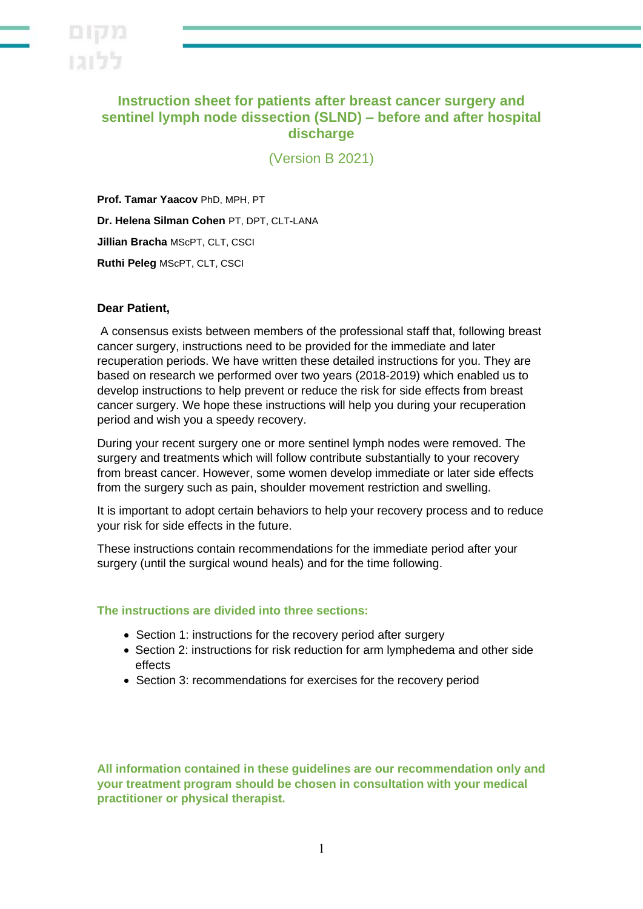

## **Instruction sheet for patients after breast cancer surgery and sentinel lymph node dissection (SLND) – before and after hospital discharge**

(Version B 2021)

**Prof. Tamar Yaacov** PhD, MPH, PT **Dr. Helena Silman Cohen** PT, DPT, CLT-LANA **Jillian Bracha** MScPT, CLT, CSCI **Ruthi Peleg** MScPT, CLT, CSCI

#### **Dear Patient,**

A consensus exists between members of the professional staff that, following breast cancer surgery, instructions need to be provided for the immediate and later recuperation periods. We have written these detailed instructions for you. They are based on research we performed over two years (2018-2019) which enabled us to develop instructions to help prevent or reduce the risk for side effects from breast cancer surgery. We hope these instructions will help you during your recuperation period and wish you a speedy recovery.

During your recent surgery one or more sentinel lymph nodes were removed. The surgery and treatments which will follow contribute substantially to your recovery from breast cancer. However, some women develop immediate or later side effects from the surgery such as pain, shoulder movement restriction and swelling.

It is important to adopt certain behaviors to help your recovery process and to reduce your risk for side effects in the future.

These instructions contain recommendations for the immediate period after your surgery (until the surgical wound heals) and for the time following.

#### **The instructions are divided into three sections:**

- Section 1: instructions for the recovery period after surgery
- Section 2: instructions for risk reduction for arm lymphedema and other side effects
- Section 3: recommendations for exercises for the recovery period

**All information contained in these guidelines are our recommendation only and your treatment program should be chosen in consultation with your medical practitioner or physical therapist.**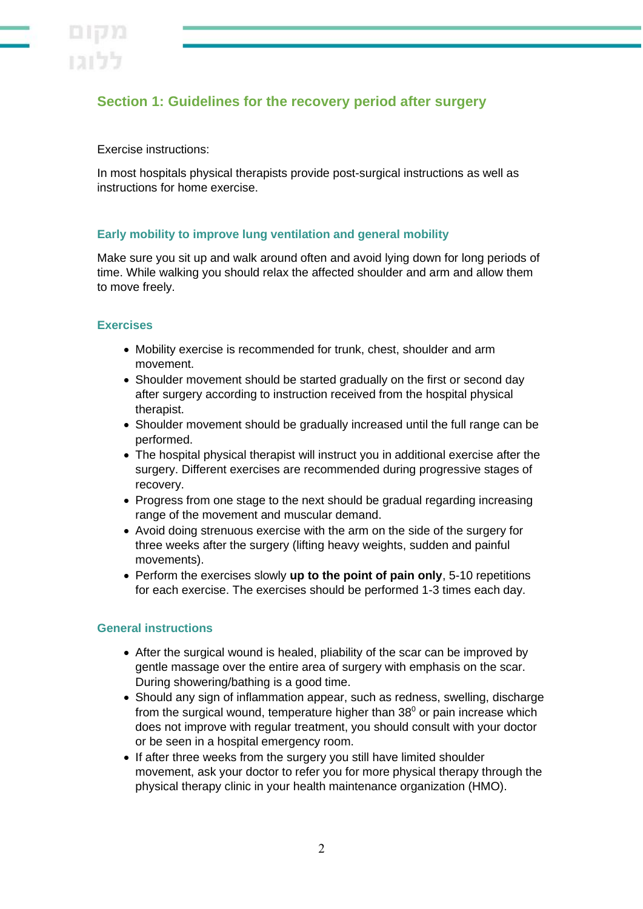# **Section 1: Guidelines for the recovery period after surgery**

#### Exercise instructions:

In most hospitals physical therapists provide post-surgical instructions as well as instructions for home exercise .

### **Early mobility to improve lung ventilation and general mobility**

Make sure you sit up and walk around often and avoid lying down for long periods of time. While walking you should relax the affected shoulder and arm and allow them to move freely.

#### **Exercises**

- Mobility exercise is recommended for trunk, chest, shoulder and arm movement.
- Shoulder movement should be started gradually on the first or second day after surgery according to instruction received from the hospital physical therapist.
- Shoulder movement should be gradually increased until the full range can be performed.
- The hospital physical therapist will instruct you in additional exercise after the surgery. Different exercises are recommended during progressive stages of recovery.
- Progress from one stage to the next should be gradual regarding increasing range of the movement and muscular demand.
- Avoid doing strenuous exercise with the arm on the side of the surgery for three weeks after the surgery (lifting heavy weights, sudden and painful movements).
- Perform the exercises slowly **up to the point of pain only**, 5-10 repetitions for each exercise. The exercises should be performed 1-3 times each day.

#### **General instructions**

- After the surgical wound is healed, pliability of the scar can be improved by gentle massage over the entire area of surgery with emphasis on the scar. During showering/bathing is a good time.
- Should any sign of inflammation appear, such as redness, swelling, discharge from the surgical wound, temperature higher than  $38<sup>0</sup>$  or pain increase which does not improve with regular treatment, you should consult with your doctor or be seen in a hospital emergency room.
- If after three weeks from the surgery you still have limited shoulder movement, ask your doctor to refer you for more physical therapy through the physical therapy clinic in your health maintenance organization (HMO).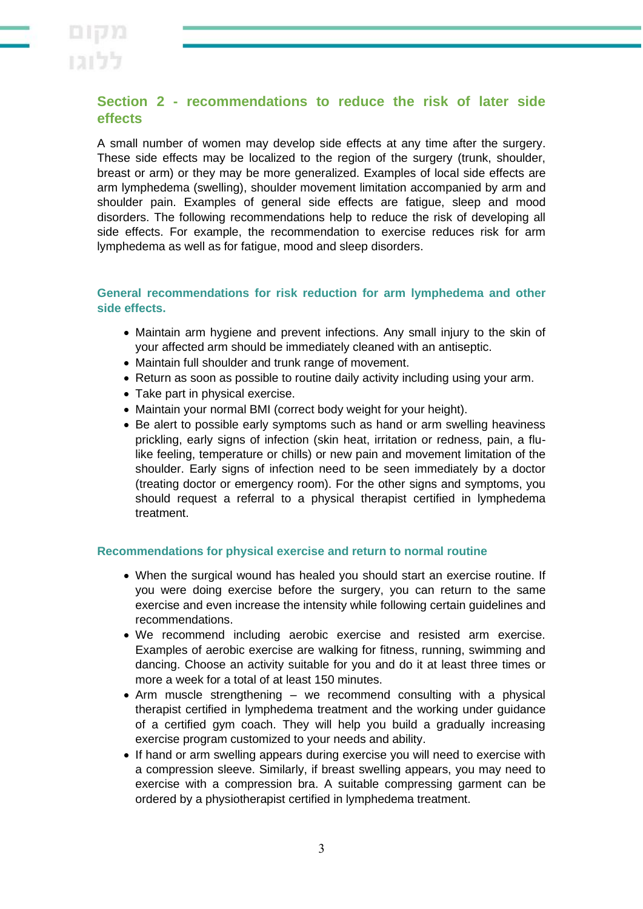# **Section 2 - recommendations to reduce the risk of later side effects**

A small number of women may develop side effects at any time after the surgery. These side effects may be localized to the region of the surgery (trunk, shoulder, breast or arm) or they may be more generalized. Examples of local side effects are arm lymphedema (swelling), shoulder movement limitation accompanied by arm and shoulder pain. Examples of general side effects are fatigue, sleep and mood disorders. The following recommendations help to reduce the risk of developing all side effects. For example, the recommendation to exercise reduces risk for arm lymphedema as well as for fatigue, mood and sleep disorders.

### **General recommendations for risk reduction for arm lymphedema and other side effects.**

- Maintain arm hygiene and prevent infections. Any small injury to the skin of your affected arm should be immediately cleaned with an antiseptic.
- Maintain full shoulder and trunk range of movement.
- Return as soon as possible to routine daily activity including using your arm.
- Take part in physical exercise.
- Maintain your normal BMI (correct body weight for your height).
- Be alert to possible early symptoms such as hand or arm swelling heaviness prickling, early signs of infection (skin heat, irritation or redness, pain, a flulike feeling, temperature or chills) or new pain and movement limitation of the shoulder. Early signs of infection need to be seen immediately by a doctor (treating doctor or emergency room). For the other signs and symptoms, you should request a referral to a physical therapist certified in lymphedema treatment.

#### **Recommendations for physical exercise and return to normal routine**

- When the surgical wound has healed you should start an exercise routine. If you were doing exercise before the surgery, you can return to the same exercise and even increase the intensity while following certain guidelines and recommendations.
- We recommend including aerobic exercise and resisted arm exercise. Examples of aerobic exercise are walking for fitness, running, swimming and dancing. Choose an activity suitable for you and do it at least three times or more a week for a total of at least 150 minutes.
- Arm muscle strengthening we recommend consulting with a physical therapist certified in lymphedema treatment and the working under guidance of a certified gym coach. They will help you build a gradually increasing exercise program customized to your needs and ability.
- If hand or arm swelling appears during exercise you will need to exercise with a compression sleeve. Similarly, if breast swelling appears, you may need to exercise with a compression bra. A suitable compressing garment can be ordered by a physiotherapist certified in lymphedema treatment.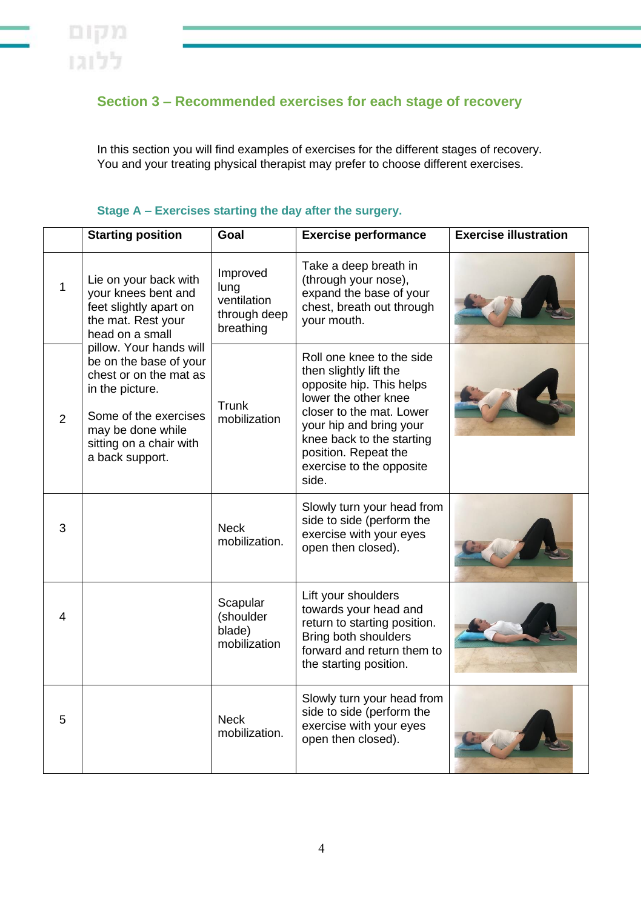# **Section 3 – Recommended exercises for each stage of recovery**

In this section you will find examples of exercises for the different stages of recovery. You and your treating physical therapist may prefer to choose different exercises.

|   | <b>Starting position</b>                                                                                                                                                                                                                                                                                      | Goal                                                         | <b>Exercise performance</b>                                                                                                                                                                                                                              | <b>Exercise illustration</b> |
|---|---------------------------------------------------------------------------------------------------------------------------------------------------------------------------------------------------------------------------------------------------------------------------------------------------------------|--------------------------------------------------------------|----------------------------------------------------------------------------------------------------------------------------------------------------------------------------------------------------------------------------------------------------------|------------------------------|
| 1 | Lie on your back with<br>your knees bent and<br>feet slightly apart on<br>the mat. Rest your<br>head on a small<br>pillow. Your hands will<br>be on the base of your<br>chest or on the mat as<br>in the picture.<br>Some of the exercises<br>may be done while<br>sitting on a chair with<br>a back support. | Improved<br>lung<br>ventilation<br>through deep<br>breathing | Take a deep breath in<br>(through your nose),<br>expand the base of your<br>chest, breath out through<br>your mouth.                                                                                                                                     |                              |
| 2 |                                                                                                                                                                                                                                                                                                               | Trunk<br>mobilization                                        | Roll one knee to the side<br>then slightly lift the<br>opposite hip. This helps<br>lower the other knee<br>closer to the mat. Lower<br>your hip and bring your<br>knee back to the starting<br>position. Repeat the<br>exercise to the opposite<br>side. |                              |
| 3 |                                                                                                                                                                                                                                                                                                               | <b>Neck</b><br>mobilization.                                 | Slowly turn your head from<br>side to side (perform the<br>exercise with your eyes<br>open then closed).                                                                                                                                                 |                              |
| 4 |                                                                                                                                                                                                                                                                                                               | Scapular<br>(shoulder<br>blade)<br>mobilization              | Lift your shoulders<br>towards your head and<br>return to starting position.<br><b>Bring both shoulders</b><br>forward and return them to<br>the starting position.                                                                                      |                              |
| 5 |                                                                                                                                                                                                                                                                                                               | <b>Neck</b><br>mobilization.                                 | Slowly turn your head from<br>side to side (perform the<br>exercise with your eyes<br>open then closed).                                                                                                                                                 |                              |

## **Stage A – Exercises starting the day after the surgery.**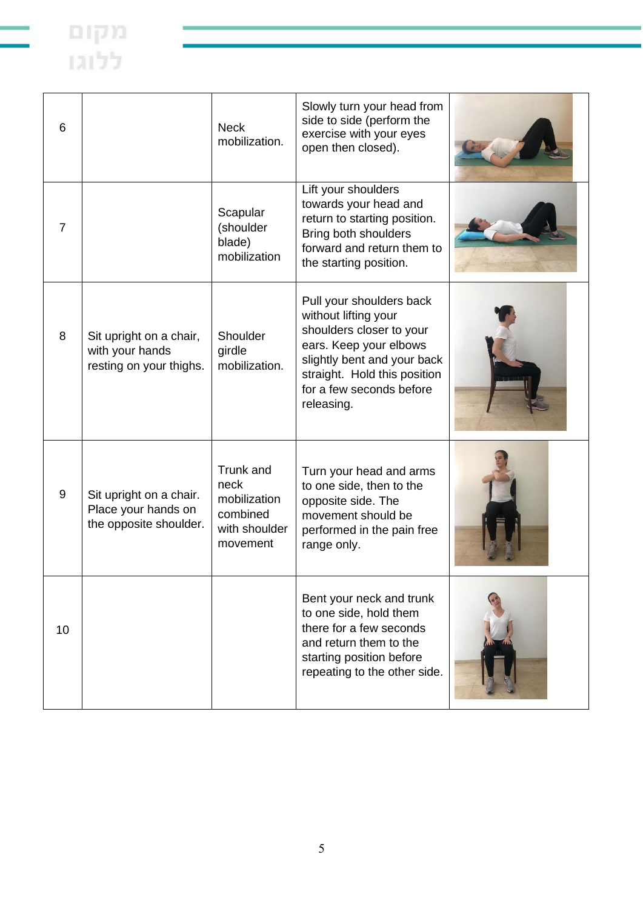| 6              |                                                                          | <b>Neck</b><br>mobilization.                                               | Slowly turn your head from<br>side to side (perform the<br>exercise with your eyes<br>open then closed).                                                                                                        |  |
|----------------|--------------------------------------------------------------------------|----------------------------------------------------------------------------|-----------------------------------------------------------------------------------------------------------------------------------------------------------------------------------------------------------------|--|
| $\overline{7}$ |                                                                          | Scapular<br>(shoulder<br>blade)<br>mobilization                            | Lift your shoulders<br>towards your head and<br>return to starting position.<br>Bring both shoulders<br>forward and return them to<br>the starting position.                                                    |  |
| 8              | Sit upright on a chair,<br>with your hands<br>resting on your thighs.    | Shoulder<br>girdle<br>mobilization.                                        | Pull your shoulders back<br>without lifting your<br>shoulders closer to your<br>ears. Keep your elbows<br>slightly bent and your back<br>straight. Hold this position<br>for a few seconds before<br>releasing. |  |
| 9              | Sit upright on a chair.<br>Place your hands on<br>the opposite shoulder. | Trunk and<br>neck<br>mobilization<br>combined<br>with shoulder<br>movement | Turn your head and arms<br>to one side, then to the<br>opposite side. The<br>movement should be<br>performed in the pain free<br>range only.                                                                    |  |
| 10             |                                                                          |                                                                            | Bent your neck and trunk<br>to one side, hold them<br>there for a few seconds<br>and return them to the<br>starting position before<br>repeating to the other side.                                             |  |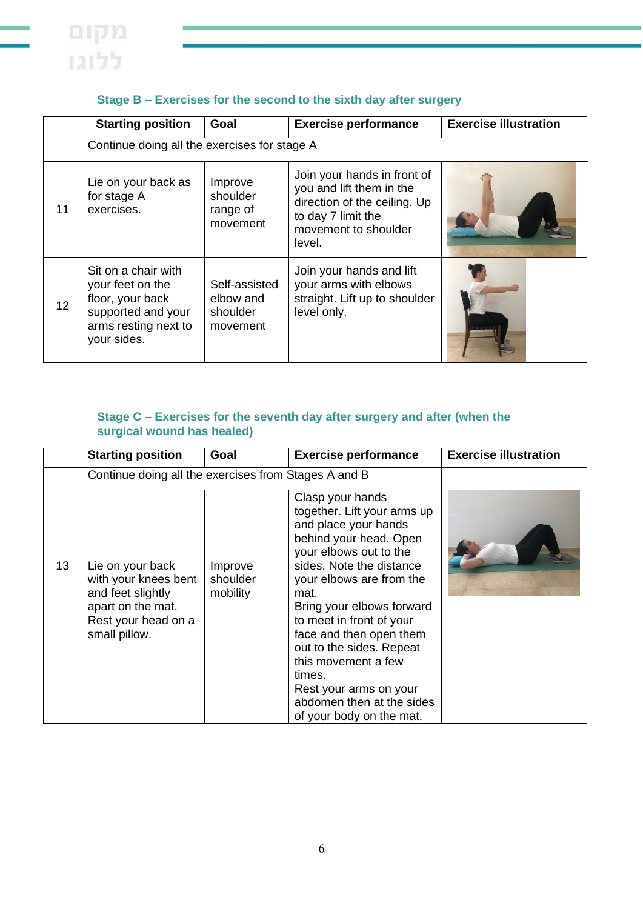

|                 | <b>Starting position</b>                                                                                                 | Goal                                               | <b>Exercise performance</b>                                                                                                                     | <b>Exercise illustration</b> |
|-----------------|--------------------------------------------------------------------------------------------------------------------------|----------------------------------------------------|-------------------------------------------------------------------------------------------------------------------------------------------------|------------------------------|
|                 | Continue doing all the exercises for stage A                                                                             |                                                    |                                                                                                                                                 |                              |
| 11              | Lie on your back as<br>for stage A<br>exercises.                                                                         | Improve<br>shoulder<br>range of<br>movement        | Join your hands in front of<br>you and lift them in the<br>direction of the ceiling. Up<br>to day 7 limit the<br>movement to shoulder<br>level. |                              |
| 12 <sup>2</sup> | Sit on a chair with<br>your feet on the<br>floor, your back<br>supported and your<br>arms resting next to<br>your sides. | Self-assisted<br>elbow and<br>shoulder<br>movement | Join your hands and lift<br>your arms with elbows<br>straight. Lift up to shoulder<br>level only.                                               |                              |

### **Stage B – Exercises for the second to the sixth day after surgery**

### **Stage C – Exercises for the seventh day after surgery and after (when the surgical wound has healed)**

|    | <b>Starting position</b>                                                                                                   | Goal                                                 | <b>Exercise performance</b>                                                                                                                                                                                                                                                                                                                                                                                                     | <b>Exercise illustration</b> |
|----|----------------------------------------------------------------------------------------------------------------------------|------------------------------------------------------|---------------------------------------------------------------------------------------------------------------------------------------------------------------------------------------------------------------------------------------------------------------------------------------------------------------------------------------------------------------------------------------------------------------------------------|------------------------------|
|    |                                                                                                                            | Continue doing all the exercises from Stages A and B |                                                                                                                                                                                                                                                                                                                                                                                                                                 |                              |
| 13 | Lie on your back<br>with your knees bent<br>and feet slightly<br>apart on the mat.<br>Rest your head on a<br>small pillow. | Improve<br>shoulder<br>mobility                      | Clasp your hands<br>together. Lift your arms up<br>and place your hands<br>behind your head. Open<br>your elbows out to the<br>sides. Note the distance<br>your elbows are from the<br>mat.<br>Bring your elbows forward<br>to meet in front of your<br>face and then open them<br>out to the sides. Repeat<br>this movement a few<br>times.<br>Rest your arms on your<br>abdomen then at the sides<br>of your body on the mat. |                              |